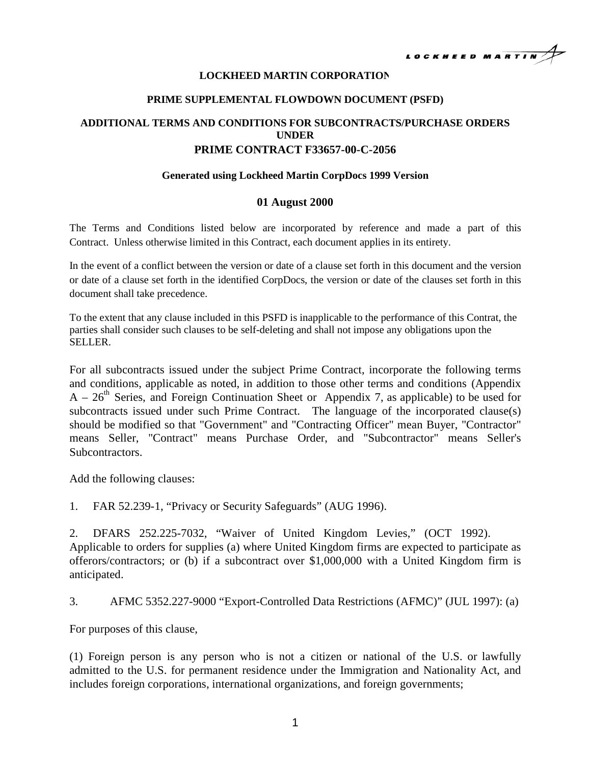

### **LOCKHEED MARTIN CORPORATION**

#### **PRIME SUPPLEMENTAL FLOWDOWN DOCUMENT (PSFD)**

# **ADDITIONAL TERMS AND CONDITIONS FOR SUBCONTRACTS/PURCHASE ORDERS UNDER PRIME CONTRACT F33657-00-C-2056**

#### **Generated using Lockheed Martin CorpDocs 1999 Version**

#### **01 August 2000**

The Terms and Conditions listed below are incorporated by reference and made a part of this Contract. Unless otherwise limited in this Contract, each document applies in its entirety.

In the event of a conflict between the version or date of a clause set forth in this document and the version or date of a clause set forth in the identified CorpDocs, the version or date of the clauses set forth in this document shall take precedence.

To the extent that any clause included in this PSFD is inapplicable to the performance of this Contrat, the parties shall consider such clauses to be self-deleting and shall not impose any obligations upon the SELLER.

For all subcontracts issued under the subject Prime Contract, incorporate the following terms and conditions, applicable as noted, in addition to those other terms and conditions (Appendix  $A - 26<sup>th</sup>$  Series, and Foreign Continuation Sheet or Appendix 7, as applicable) to be used for subcontracts issued under such Prime Contract. The language of the incorporated clause(s) should be modified so that "Government" and "Contracting Officer" mean Buyer, "Contractor" means Seller, "Contract" means Purchase Order, and "Subcontractor" means Seller's Subcontractors.

Add the following clauses:

1. FAR 52.239-1, "Privacy or Security Safeguards" (AUG 1996).

2. DFARS 252.225-7032, "Waiver of United Kingdom Levies," (OCT 1992). Applicable to orders for supplies (a) where United Kingdom firms are expected to participate as offerors/contractors; or (b) if a subcontract over \$1,000,000 with a United Kingdom firm is anticipated.

## 3. AFMC 5352.227-9000 "Export-Controlled Data Restrictions (AFMC)" (JUL 1997): (a)

For purposes of this clause,

(1) Foreign person is any person who is not a citizen or national of the U.S. or lawfully admitted to the U.S. for permanent residence under the Immigration and Nationality Act, and includes foreign corporations, international organizations, and foreign governments;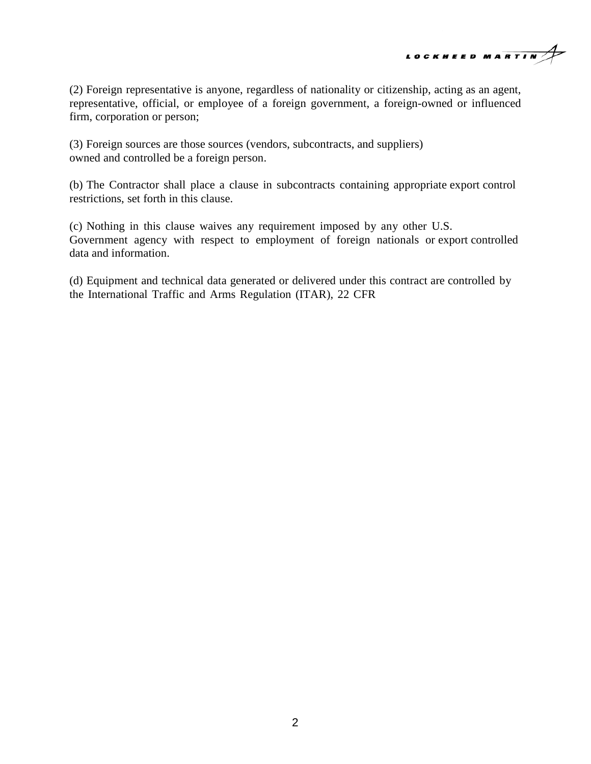

(2) Foreign representative is anyone, regardless of nationality or citizenship, acting as an agent, representative, official, or employee of a foreign government, a foreign-owned or influenced firm, corporation or person;

(3) Foreign sources are those sources (vendors, subcontracts, and suppliers) owned and controlled be a foreign person.

(b) The Contractor shall place a clause in subcontracts containing appropriate export control restrictions, set forth in this clause.

(c) Nothing in this clause waives any requirement imposed by any other U.S. Government agency with respect to employment of foreign nationals or export controlled data and information.

(d) Equipment and technical data generated or delivered under this contract are controlled by the International Traffic and Arms Regulation (ITAR), 22 CFR